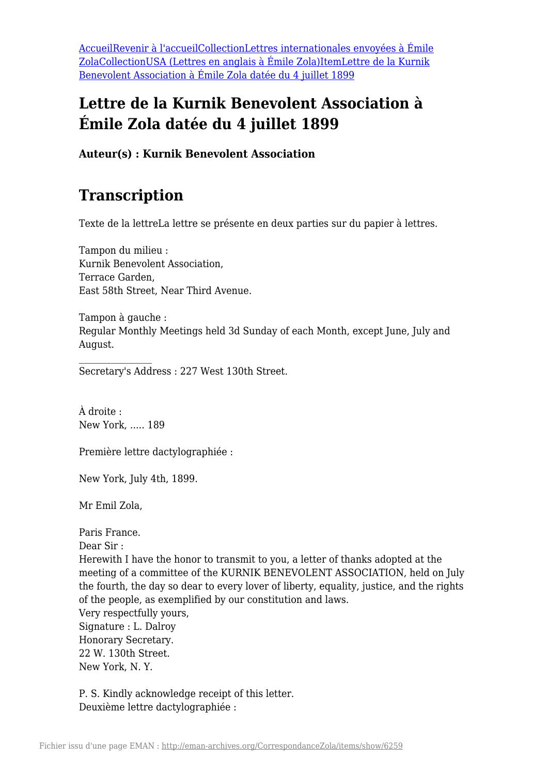[AccueilRevenir à l'accueil](https://eman-archives.org/CorrespondanceZola)[CollectionLettres internationales envoyées à Émile](https://eman-archives.org/CorrespondanceZola/collections/show/23) [Zola](https://eman-archives.org/CorrespondanceZola/collections/show/23)[CollectionUSA \(Lettres en anglais à Émile Zola\)](https://eman-archives.org/CorrespondanceZola/collections/show/78)[ItemLettre de la Kurnik](#page--1-0) [Benevolent Association à Émile Zola datée du 4 juillet 1899](#page--1-0)

#### **Lettre de la Kurnik Benevolent Association à Émile Zola datée du 4 juillet 1899**

**Auteur(s) : Kurnik Benevolent Association**

#### **Transcription**

Texte de la lettreLa lettre se présente en deux parties sur du papier à lettres.

Tampon du milieu : Kurnik Benevolent Association, Terrace Garden, East 58th Street, Near Third Avenue.

Tampon à gauche : Regular Monthly Meetings held 3d Sunday of each Month, except June, July and August.

Secretary's Address : 227 West 130th Street.

À droite : New York, ..... 189

Première lettre dactylographiée :

New York, July 4th, 1899.

Mr Emil Zola,

Paris France. Dear Sir : Herewith I have the honor to transmit to you, a letter of thanks adopted at the meeting of a committee of the KURNIK BENEVOLENT ASSOCIATION, held on July the fourth, the day so dear to every lover of liberty, equality, justice, and the rights of the people, as exemplified by our constitution and laws. Very respectfully yours, Signature : L. Dalroy Honorary Secretary. 22 W. 130th Street. New York, N. Y.

P. S. Kindly acknowledge receipt of this letter. Deuxième lettre dactylographiée :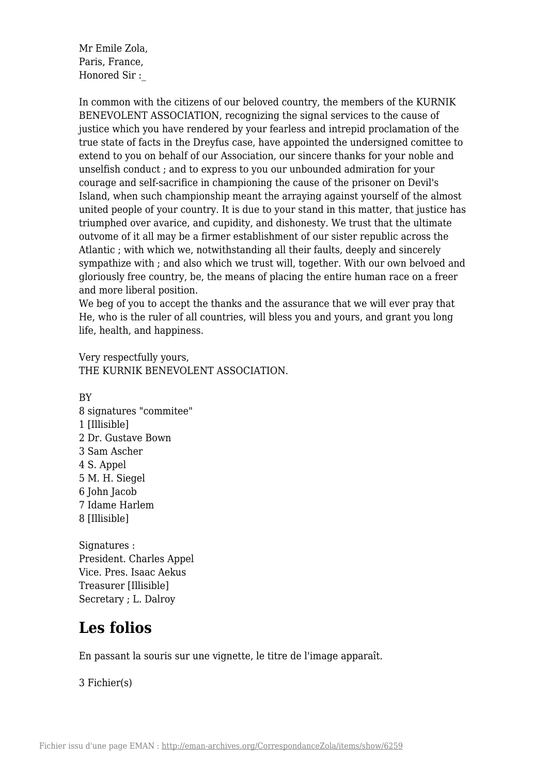Mr Emile Zola, Paris, France, Honored Sir :\_

In common with the citizens of our beloved country, the members of the KURNIK BENEVOLENT ASSOCIATION, recognizing the signal services to the cause of justice which you have rendered by your fearless and intrepid proclamation of the true state of facts in the Dreyfus case, have appointed the undersigned comittee to extend to you on behalf of our Association, our sincere thanks for your noble and unselfish conduct ; and to express to you our unbounded admiration for your courage and self-sacrifice in championing the cause of the prisoner on Devil's Island, when such championship meant the arraying against yourself of the almost united people of your country. It is due to your stand in this matter, that justice has triumphed over avarice, and cupidity, and dishonesty. We trust that the ultimate outvome of it all may be a firmer establishment of our sister republic across the Atlantic ; with which we, notwithstanding all their faults, deeply and sincerely sympathize with ; and also which we trust will, together. With our own belvoed and gloriously free country, be, the means of placing the entire human race on a freer and more liberal position.

We beg of you to accept the thanks and the assurance that we will ever pray that He, who is the ruler of all countries, will bless you and yours, and grant you long life, health, and happiness.

Very respectfully yours, THE KURNIK BENEVOLENT ASSOCIATION.

BY 8 signatures "commitee" 1 [Illisible] 2 Dr. Gustave Bown 3 Sam Ascher 4 S. Appel 5 M. H. Siegel 6 John Jacob 7 Idame Harlem 8 [Illisible]

Signatures : President. Charles Appel Vice. Pres. Isaac Aekus Treasurer [Illisible] Secretary ; L. Dalroy

## **Les folios**

En passant la souris sur une vignette, le titre de l'image apparaît.

3 Fichier(s)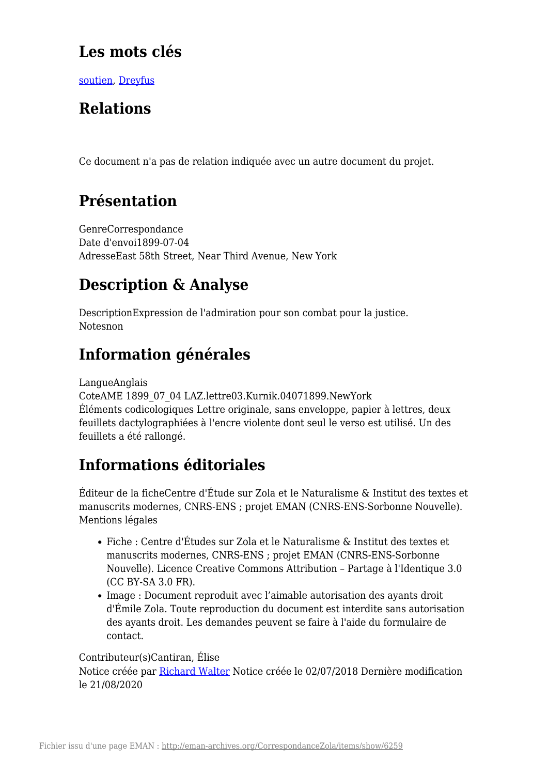## **Les mots clés**

[soutien,](https://eman-archives.org/CorrespondanceZola/items/browse?tags=soutien) [Dreyfus](https://eman-archives.org/CorrespondanceZola/items/browse?tags=Dreyfus)

# **Relations**

Ce document n'a pas de relation indiquée avec un autre document du projet.

## **Présentation**

GenreCorrespondance Date d'envoi1899-07-04 AdresseEast 58th Street, Near Third Avenue, New York

## **Description & Analyse**

DescriptionExpression de l'admiration pour son combat pour la justice. Notesnon

# **Information générales**

LangueAnglais

CoteAME 1899\_07\_04 LAZ.lettre03.Kurnik.04071899.NewYork Éléments codicologiques Lettre originale, sans enveloppe, papier à lettres, deux feuillets dactylographiées à l'encre violente dont seul le verso est utilisé. Un des feuillets a été rallongé.

# **Informations éditoriales**

Éditeur de la ficheCentre d'Étude sur Zola et le Naturalisme & Institut des textes et manuscrits modernes, CNRS-ENS ; projet EMAN (CNRS-ENS-Sorbonne Nouvelle). Mentions légales

- Fiche : Centre d'Études sur Zola et le Naturalisme & Institut des textes et manuscrits modernes, CNRS-ENS ; projet EMAN (CNRS-ENS-Sorbonne Nouvelle). Licence Creative Commons Attribution – Partage à l'Identique 3.0 (CC BY-SA 3.0 FR).
- Image : Document reproduit avec l'aimable autorisation des ayants droit d'Émile Zola. Toute reproduction du document est interdite sans autorisation des ayants droit. Les demandes peuvent se faire à l'aide du formulaire de contact.

#### Contributeur(s)Cantiran, Élise

Notice créée par [Richard Walter](https://eman-archives.org/CorrespondanceZola/mapage/2) Notice créée le 02/07/2018 Dernière modification le 21/08/2020